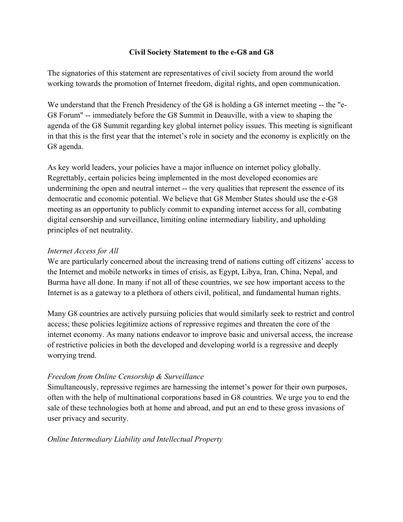## **Civil Society Statement to the e-G8 and G8**

The signatories of this statement are representatives of civil society from around the world working towards the promotion of Internet freedom, digital rights, and open communication.

We understand that the French Presidency of the G8 is holding a G8 internet meeting -- the "e-G8 Forum" -- immediately before the G8 Summit in Deauville, with a view to shaping the agenda of the G8 Summit regarding key global internet policy issues. This meeting is significant in that this is the first year that the internet's role in society and the economy is explicitly on the G8 agenda.

As key world leaders, your policies have a major influence on internet policy globally. Regrettably, certain policies being implemented in the most developed economies are undermining the open and neutral internet -- the very qualities that represent the essence of its democratic and economic potential. We believe that G8 Member States should use the e-G8 meeting as an opportunity to publicly commit to expanding internet access for all, combating digital censorship and surveillance, limiting online intermediary liability, and upholding principles of net neutrality.

#### *Internet Access for All*

We are particularly concerned about the increasing trend of nations cutting off citizens' access to the Internet and mobile networks in times of crisis, as Egypt, Libya, Iran, China, Nepal, and Burma have all done. In many if not all of these countries, we see how important access to the Internet is as a gateway to a plethora of others civil, political, and fundamental human rights.

Many G8 countries are actively pursuing policies that would similarly seek to restrict and control access; these policies legitimize actions of repressive regimes and threaten the core of the internet economy. As many nations endeavor to improve basic and universal access, the increase of restrictive policies in both the developed and developing world is a regressive and deeply worrying trend.

## *Freedom from Online Censorship & Surveillance*

Simultaneously, repressive regimes are harnessing the internet's power for their own purposes, often with the help of multinational corporations based in G8 countries. We urge you to end the sale of these technologies both at home and abroad, and put an end to these gross invasions of user privacy and security.

#### *Online Intermediary Liability and Intellectual Property*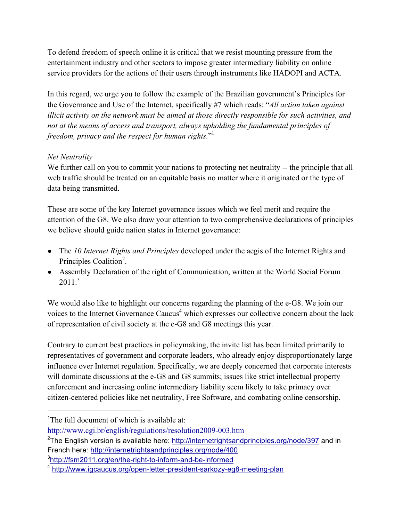To defend freedom of speech online it is critical that we resist mounting pressure from the entertainment industry and other sectors to impose greater intermediary liability on online service providers for the actions of their users through instruments like HADOPI and ACTA.

In this regard, we urge you to follow the example of the Brazilian government's Principles for the Governance and Use of the Internet, specifically #7 which reads: "*All action taken against illicit activity on the network must be aimed at those directly responsible for such activities, and not at the means of access and transport, always upholding the fundamental principles of freedom, privacy and the respect for human rights.*" 1

# *Net Neutrality*

We further call on you to commit your nations to protecting net neutrality -- the principle that all web traffic should be treated on an equitable basis no matter where it originated or the type of data being transmitted.

These are some of the key Internet governance issues which we feel merit and require the attention of the G8. We also draw your attention to two comprehensive declarations of principles we believe should guide nation states in Internet governance:

- The *10 Internet Rights and Principles* developed under the aegis of the Internet Rights and Principles Coalition<sup>2</sup>.
- Assembly Declaration of the right of Communication, written at the World Social Forum  $2011<sup>3</sup>$

We would also like to highlight our concerns regarding the planning of the e-G8. We join our voices to the Internet Governance Caucus<sup>4</sup> which expresses our collective concern about the lack of representation of civil society at the e-G8 and G8 meetings this year.

Contrary to current best practices in policymaking, the invite list has been limited primarily to representatives of government and corporate leaders, who already enjoy disproportionately large influence over Internet regulation. Specifically, we are deeply concerned that corporate interests will dominate discussions at the e-G8 and G8 summits; issues like strict intellectual property enforcement and increasing online intermediary liability seem likely to take primacy over citizen-centered policies like net neutrality, Free Software, and combating online censorship.

 $\overline{1}$ <sup>1</sup>The full document of which is available at:

http://www.cgi.br/english/regulations/resolution2009-003.htm

<sup>&</sup>lt;sup>2</sup>The English version is available here: http://internetrightsandprinciples.org/node/397 and in French here: http://internetrightsandprinciples.org/node/400

<sup>&</sup>lt;sup>3</sup>http://fsm2011.org/en/the-right-to-inform-and-be-informed

<sup>4</sup> http://www.igcaucus.org/open-letter-president-sarkozy-eg8-meeting-plan